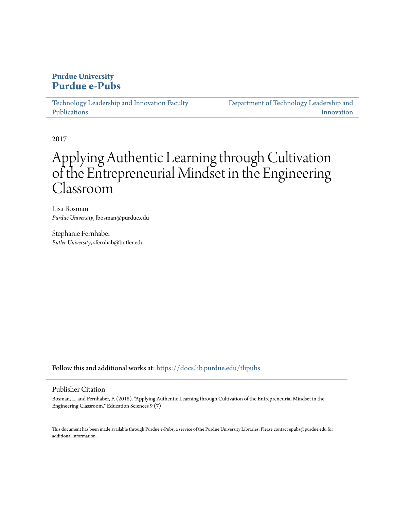# **Purdue University [Purdue e-Pubs](https://docs.lib.purdue.edu?utm_source=docs.lib.purdue.edu%2Ftlipubs%2F2&utm_medium=PDF&utm_campaign=PDFCoverPages)**

[Technology Leadership and Innovation Faculty](https://docs.lib.purdue.edu/tlipubs?utm_source=docs.lib.purdue.edu%2Ftlipubs%2F2&utm_medium=PDF&utm_campaign=PDFCoverPages) [Publications](https://docs.lib.purdue.edu/tlipubs?utm_source=docs.lib.purdue.edu%2Ftlipubs%2F2&utm_medium=PDF&utm_campaign=PDFCoverPages)

[Department of Technology Leadership and](https://docs.lib.purdue.edu/tli?utm_source=docs.lib.purdue.edu%2Ftlipubs%2F2&utm_medium=PDF&utm_campaign=PDFCoverPages) [Innovation](https://docs.lib.purdue.edu/tli?utm_source=docs.lib.purdue.edu%2Ftlipubs%2F2&utm_medium=PDF&utm_campaign=PDFCoverPages)

2017

# Applying Authentic Learning through Cultivation of the Entrepreneurial Mindset in the Engineering Classroom

Lisa Bosman *Purdue University*, lbosman@purdue.edu

Stephanie Fernhaber *Butler University*, sfernhab@butler.edu

Follow this and additional works at: [https://docs.lib.purdue.edu/tlipubs](https://docs.lib.purdue.edu/tlipubs?utm_source=docs.lib.purdue.edu%2Ftlipubs%2F2&utm_medium=PDF&utm_campaign=PDFCoverPages)

# Publisher Citation

Bosman, L. and Fernhaber, F. (2018). "Applying Authentic Learning through Cultivation of the Entrepreneurial Mindset in the Engineering Classroom." Education Sciences 9 (7)

This document has been made available through Purdue e-Pubs, a service of the Purdue University Libraries. Please contact epubs@purdue.edu for additional information.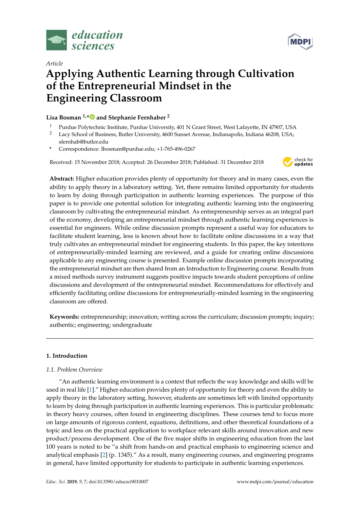

*Article*



# **Applying Authentic Learning through Cultivation of the Entrepreneurial Mindset in the Engineering Classroom**

# **Lisa Bosman 1,[\\*](https://orcid.org/0000-0003-2442-6551) and Stephanie Fernhaber <sup>2</sup>**

- <sup>1</sup> Purdue Polytechnic Institute, Purdue University, 401 N Grant Street, West Lafayette, IN 47907, USA
- <sup>2</sup> Lacy School of Business, Butler University, 4600 Sunset Avenue, Indianapolis, Indiana 46208, USA; sfernhab@butler.edu
- **\*** Correspondence: lbosman@purdue.edu; +1-765-496-0267

Received: 15 November 2018; Accepted: 26 December 2018; Published: 31 December 2018



**Abstract:** Higher education provides plenty of opportunity for theory and in many cases, even the ability to apply theory in a laboratory setting. Yet, there remains limited opportunity for students to learn by doing through participation in authentic learning experiences. The purpose of this paper is to provide one potential solution for integrating authentic learning into the engineering classroom by cultivating the entrepreneurial mindset. As entrepreneurship serves as an integral part of the economy, developing an entrepreneurial mindset through authentic learning experiences is essential for engineers. While online discussion prompts represent a useful way for educators to facilitate student learning, less is known about how to facilitate online discussions in a way that truly cultivates an entrepreneurial mindset for engineering students. In this paper, the key intentions of entrepreneurially-minded learning are reviewed, and a guide for creating online discussions applicable to any engineering course is presented. Example online discussion prompts incorporating the entrepreneurial mindset are then shared from an Introduction to Engineering course. Results from a mixed methods survey instrument suggests positive impacts towards student perceptions of online discussions and development of the entrepreneurial mindset. Recommendations for effectively and efficiently facilitating online discussions for entrepreneurially-minded learning in the engineering classroom are offered.

**Keywords:** entrepreneurship; innovation; writing across the curriculum; discussion prompts; inquiry; authentic; engineering; undergraduate

# **1. Introduction**

# *1.1. Problem Overview*

"An authentic learning environment is a context that reflects the way knowledge and skills will be used in real life [\[1\]](#page-16-0)." Higher education provides plenty of opportunity for theory and even the ability to apply theory in the laboratory setting, however, students are sometimes left with limited opportunity to learn by doing through participation in authentic learning experiences. This is particular problematic in theory heavy courses, often found in engineering disciplines. These courses tend to focus more on large amounts of rigorous content, equations, definitions, and other theoretical foundations of a topic and less on the practical application to workplace relevant skills around innovation and new product/process development. One of the five major shifts in engineering education from the last 100 years is noted to be "a shift from hands-on and practical emphasis to engineering science and analytical emphasis [\[2\]](#page-16-1) (p. 1345)." As a result, many engineering courses, and engineering programs in general, have limited opportunity for students to participate in authentic learning experiences.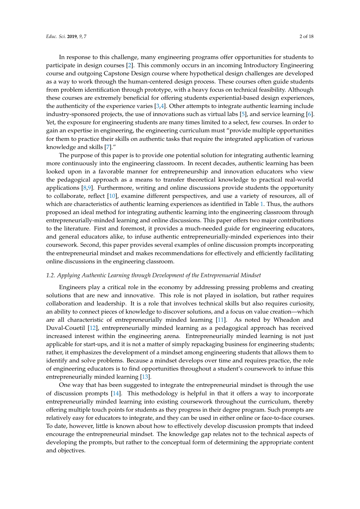In response to this challenge, many engineering programs offer opportunities for students to participate in design courses [\[2\]](#page-16-1). This commonly occurs in an incoming Introductory Engineering course and outgoing Capstone Design course where hypothetical design challenges are developed as a way to work through the human-centered design process. These courses often guide students from problem identification through prototype, with a heavy focus on technical feasibility. Although these courses are extremely beneficial for offering students experiential-based design experiences, the authenticity of the experience varies [\[3,](#page-16-2)[4\]](#page-16-3). Other attempts to integrate authentic learning include industry-sponsored projects, the use of innovations such as virtual labs [\[5\]](#page-16-4), and service learning [\[6\]](#page-16-5). Yet, the exposure for engineering students are many times limited to a select, few courses. In order to gain an expertise in engineering, the engineering curriculum must "provide multiple opportunities for them to practice their skills on authentic tasks that require the integrated application of various knowledge and skills [\[7\]](#page-16-6)."

The purpose of this paper is to provide one potential solution for integrating authentic learning more continuously into the engineering classroom. In recent decades, authentic learning has been looked upon in a favorable manner for entrepreneurship and innovation educators who view the pedagogical approach as a means to transfer theoretical knowledge to practical real-world applications [\[8](#page-16-7)[,9\]](#page-16-8). Furthermore, writing and online discussions provide students the opportunity to collaborate, reflect [\[10\]](#page-16-9), examine different perspectives, and use a variety of resources, all of which are characteristics of authentic learning experiences as identified in Table [1.](#page-3-0) Thus, the authors proposed an ideal method for integrating authentic learning into the engineering classroom through entrepreneurially-minded learning and online discussions. This paper offers two major contributions to the literature. First and foremost, it provides a much-needed guide for engineering educators, and general educators alike, to infuse authentic entrepreneurially-minded experiences into their coursework. Second, this paper provides several examples of online discussion prompts incorporating the entrepreneurial mindset and makes recommendations for effectively and efficiently facilitating online discussions in the engineering classroom.

#### *1.2. Applying Authentic Learning through Development of the Entreprenuerial Mindset*

Engineers play a critical role in the economy by addressing pressing problems and creating solutions that are new and innovative. This role is not played in isolation, but rather requires collaboration and leadership. It is a role that involves technical skills but also requires curiosity, an ability to connect pieces of knowledge to discover solutions, and a focus on value creation—which are all characteristic of entrepreneurially minded learning [\[11\]](#page-16-10). As noted by Wheadon and Duval-Couetil [\[12\]](#page-16-11), entrepreneurially minded learning as a pedagogical approach has received increased interest within the engineering arena. Entrepreneurially minded learning is not just applicable for start-ups, and it is not a matter of simply repackaging business for engineering students; rather, it emphasizes the development of a mindset among engineering students that allows them to identify and solve problems. Because a mindset develops over time and requires practice, the role of engineering educators is to find opportunities throughout a student's coursework to infuse this entrepreneurially minded learning [\[13\]](#page-16-12).

One way that has been suggested to integrate the entrepreneurial mindset is through the use of discussion prompts [\[14\]](#page-16-13). This methodology is helpful in that it offers a way to incorporate entrepreneurially minded learning into existing coursework throughout the curriculum, thereby offering multiple touch points for students as they progress in their degree program. Such prompts are relatively easy for educators to integrate, and they can be used in either online or face-to-face courses. To date, however, little is known about how to effectively develop discussion prompts that indeed encourage the entrepreneurial mindset. The knowledge gap relates not to the technical aspects of developing the prompts, but rather to the conceptual form of determining the appropriate content and objectives.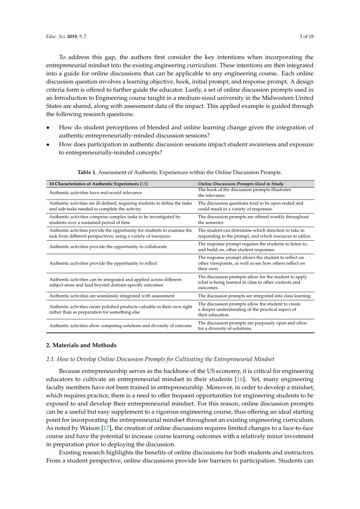the following research questions:

To address this gap, the authors first consider the key intentions when incorporating the entrepreneurial mindset into the existing engineering curriculum. These intentions are then integrated into a guide for online discussions that can be applicable to any engineering course. Each online discussion question involves a learning objective, hook, initial prompt, and response prompt. A design criteria form is offered to further guide the educator. Lastly, a set of online discussion prompts used in an Introduction to Engineering course taught in a medium-sized university in the Midwestern United States are shared, along with assessment data of the impact. This applied example is guided through

- How do student perceptions of blended and online learning change given the integration of authentic entrepreneurially-minded discussion sessions?
- How does participation in authentic discussion sessions impact student awareness and exposure to entrepreneurially-minded concepts?

<span id="page-3-0"></span>

| 10 Characteristics of Authentic Experiences [15]                                                                                           | <b>Online Discussion Prompts Used in Study</b>                                                                               |
|--------------------------------------------------------------------------------------------------------------------------------------------|------------------------------------------------------------------------------------------------------------------------------|
| Authentic activities have real-world relevance                                                                                             | The hook of the discussion prompts illustrates<br>the relevance.                                                             |
| Authentic activities are ill-defined, requiring students to define the tasks<br>and sub-tasks needed to complete the activity              | The discussion questions tend to be open ended and<br>could result in a variety of responses.                                |
| Authentic activities comprise complex tasks to be investigated by<br>students over a sustained period of time                              | The discussion prompts are offered weekly throughout<br>the semester.                                                        |
| Authentic activities provide the opportunity for students to examine the<br>task from different perspectives, using a variety of resources | The student can determine which direction to take in<br>responding to the prompt, and which resources to utilize.            |
| Authentic activities provide the opportunity to collaborate                                                                                | The response prompt requires the students to listen to,<br>and build on, other student responses.                            |
| Authentic activities provide the opportunity to reflect                                                                                    | The response prompt allows the student to reflect on<br>other viewpoints, as well as see how others reflect on<br>their own. |
| Authentic activities can be integrated and applied across different<br>subject areas and lead beyond domain-specific outcomes              | The discussion prompts allow for the student to apply<br>what is being learned in class to other contexts and<br>outcomes.   |
| Authentic activities are seamlessly integrated with assessment                                                                             | The discussion prompts are integrated into class learning.                                                                   |
| Authentic activities create polished products valuable in their own right<br>rather than as preparation for something else                 | The discussion prompts allow the student to create<br>a deeper understanding of the practical aspect of<br>their education.  |
| Authentic activities allow competing solutions and diversity of outcome                                                                    | The discussion prompts are purposely open and allow<br>for a diversity of solutions.                                         |

**Table 1.** Assessment of Authentic Experiences within the Online Discussion Prompts.

#### **2. Materials and Methods**

#### *2.1. How to Develop Online Discussion Prompts for Cultivating the Entrepreneurial Mindset*

Because entrepreneurship serves as the backbone of the US economy, it is critical for engineering educators to cultivate an entrepreneurial mindset in their students [\[16\]](#page-16-15). Yet, many engineering faculty members have not been trained in entrepreneurship. Moreover, in order to develop a mindset, which requires practice, there is a need to offer frequent opportunities for engineering students to be exposed to and develop their entrepreneurial mindset. For this reason, online discussion prompts can be a useful but easy supplement to a rigorous engineering course, thus offering an ideal starting point for incorporating the entrepreneurial mindset throughout an existing engineering curriculum. As noted by Watson [\[17\]](#page-16-16), the creation of online discussions requires limited changes to a face-to-face course and have the potential to increase course learning outcomes with a relatively minor investment in preparation prior to deploying the discussion.

Existing research highlights the benefits of online discussions for both students and instructors. From a student perspective, online discussions provide low barriers to participation. Students can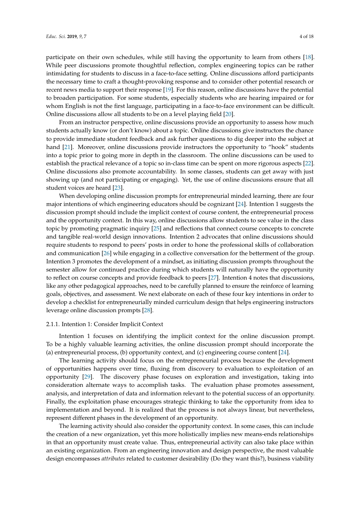participate on their own schedules, while still having the opportunity to learn from others [\[18\]](#page-16-17). While peer discussions promote thoughtful reflection, complex engineering topics can be rather intimidating for students to discuss in a face-to-face setting. Online discussions afford participants the necessary time to craft a thought-provoking response and to consider other potential research or recent news media to support their response [\[19\]](#page-16-18). For this reason, online discussions have the potential to broaden participation. For some students, especially students who are hearing impaired or for whom English is not the first language, participating in a face-to-face environment can be difficult. Online discussions allow all students to be on a level playing field [\[20\]](#page-16-19).

From an instructor perspective, online discussions provide an opportunity to assess how much students actually know (or don't know) about a topic. Online discussions give instructors the chance to provide immediate student feedback and ask further questions to dig deeper into the subject at hand [\[21\]](#page-16-20). Moreover, online discussions provide instructors the opportunity to "hook" students into a topic prior to going more in depth in the classroom. The online discussions can be used to establish the practical relevance of a topic so in-class time can be spent on more rigorous aspects [\[22\]](#page-16-21). Online discussions also promote accountability. In some classes, students can get away with just showing up (and not participating or engaging). Yet, the use of online discussions ensure that all student voices are heard [\[23\]](#page-16-22).

When developing online discussion prompts for entrepreneurial minded learning, there are four major intentions of which engineering educators should be cognizant [\[24\]](#page-17-0). Intention 1 suggests the discussion prompt should include the implicit context of course content, the entrepreneurial process and the opportunity context. In this way, online discussions allow students to see value in the class topic by promoting pragmatic inquiry [\[25\]](#page-17-1) and reflections that connect course concepts to concrete and tangible real-world design innovations. Intention 2 advocates that online discussions should require students to respond to peers' posts in order to hone the professional skills of collaboration and communication [\[26\]](#page-17-2) while engaging in a collective conversation for the betterment of the group. Intention 3 promotes the development of a mindset, as initiating discussion prompts throughout the semester allow for continued practice during which students will naturally have the opportunity to reflect on course concepts and provide feedback to peers [\[27\]](#page-17-3). Intention 4 notes that discussions, like any other pedagogical approaches, need to be carefully planned to ensure the reinforce of learning goals, objectives, and assessment. We next elaborate on each of these four key intentions in order to develop a checklist for entrepreneurially minded curriculum design that helps engineering instructors leverage online discussion prompts [\[28\]](#page-17-4).

#### 2.1.1. Intention 1: Consider Implicit Context

Intention 1 focuses on identifying the implicit context for the online discussion prompt. To be a highly valuable learning activities, the online discussion prompt should incorporate the (a) entrepreneurial process, (b) opportunity context, and (c) engineering course content [\[24\]](#page-17-0).

The learning activity should focus on the entrepreneurial process because the development of opportunities happens over time, fluxing from discovery to evaluation to exploitation of an opportunity [\[29\]](#page-17-5). The discovery phase focuses on exploration and investigation, taking into consideration alternate ways to accomplish tasks. The evaluation phase promotes assessment, analysis, and interpretation of data and information relevant to the potential success of an opportunity. Finally, the exploitation phase encourages strategic thinking to take the opportunity from idea to implementation and beyond. It is realized that the process is not always linear, but nevertheless, represent different phases in the development of an opportunity.

The learning activity should also consider the opportunity context. In some cases, this can include the creation of a new organization, yet this more holistically implies new means-ends relationships in that an opportunity must create value. Thus, entrepreneurial activity can also take place within an existing organization. From an engineering innovation and design perspective, the most valuable design encompasses *attributes* related to customer desirability (Do they want this?), business viability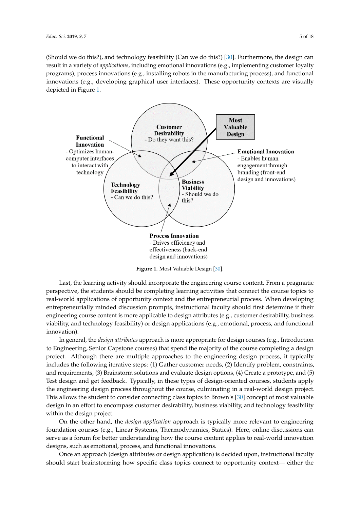(Should we do this?), and technology feasibility (Can we do this?) [\[30\]](#page-17-6). Furthermore, the design can result in a variety of *applications,* including emotional innovations (e.g., implementing customer loyalty programs), process innovations (e.g., installing robots in the manufacturing process), and functional innovations (e.g., developing graphical user interfaces). These opportunity contexts are visually depicted in Figure 1. **Example 2.** 

<span id="page-5-0"></span>

**Figure 1.** Most Valuable Design [30]*.* **Figure 1.** Most Valuable Design [\[30\]](#page-17-6).

Last, the learning activity should incorporate the engineering course content. From a pragmatic Last, the learning activity should incorporate the engineering course content. From a pragmatic perspective, the students should be completing learning activities that connect the course topics to perspective, the students should be completing learning activities that connect the course topics to real-world applications of opportunity context and the entrepreneurial process. When developing real-world applications of opportunity context and the entrepreneurial process. When developing entrepreneurially minded discussion prompts, instructional faculty should first determine if their experience if their engineering course content is more applicable to design attributes (e.g., customer desirability, business in the state of the state of the state of the state of the state of the state of the state of the state of the state viability, and technology feasibility) or design applications (e.g., emotional, process, and functional<br>.  $\frac{1}{1}$  introvation). innovation).

In general, the *design attributes* approach is more appropriate for design courses (e.g., In general, the *design attributes* approach is more appropriate for design courses (e.g., Introduction to Engineering, Senior Capstone courses) that spend the majority of the course completing a design<br> project. Although there are multiple approaches to the engineering design process, it typically includes the following iterative steps: (1) Gather customer needs, (2) Identify problem, constraints, included and requirements, (3) Brainstorm solutions and evaluate design options, (4) Create a prototype, and (5)<br>The column of the constant of the column of the column of the column of the column of the column of the column Test design and get feedback. Typically, in these types of design-oriented courses, students apply<br>... the engineering design process throughout the course, culminating in a real-world design project.<br>This called the course of the course of the course of the course of the course of the course of the course of This allows the student to consider connecting class topics to Brown's [\[30\]](#page-17-6) concept of most valuable<br>This allows the student to consider connecting class topics to Brown's [30] concept of most valuable design in an effort to encompass customer desirability, business viability, and technology feasibility<br>ideals in an effort to encompass customer desirability, business viability, and technology feasibility within the design project. within the design project.

On the other hand, the *design application* approach is typically more relevant to engineering On the other hand, the *design application* approach is typically more relevant to engineering foundation courses (e.g., Linear Systems, Thermodynamics, Statics). Here, online discussions can foundation courses (e.g., Linear Systems, Thermodynamics, Statics). Here, online discussions can serve as a forum for better understanding how the course content applies to real-world innovation designs, such as emotional, process, and functional innovations.

Once an approach (design attributes or design application) is decided upon, instructional faculty should start brainstorming how specific class topics connect to opportunity context— either the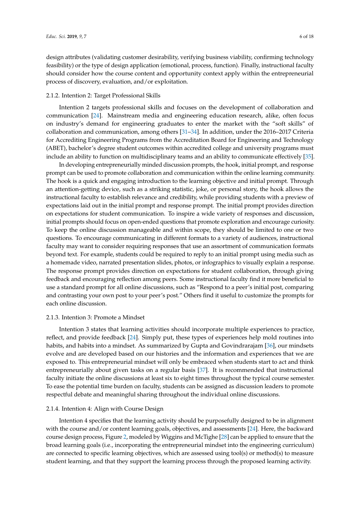design attributes (validating customer desirability, verifying business viability, confirming technology feasibility) or the type of design application (emotional, process, function). Finally, instructional faculty should consider how the course content and opportunity context apply within the entrepreneurial process of discovery, evaluation, and/or exploitation.

#### 2.1.2. Intention 2: Target Professional Skills

Intention 2 targets professional skills and focuses on the development of collaboration and communication [\[24\]](#page-17-0). Mainstream media and engineering education research, alike, often focus on industry's demand for engineering graduates to enter the market with the "soft skills" of collaboration and communication, among others [\[31–](#page-17-7)[34\]](#page-17-8). In addition, under the 2016–2017 Criteria for Accrediting Engineering Programs from the Accreditation Board for Engineering and Technology (ABET), bachelor's degree student outcomes within accredited college and university programs must include an ability to function on multidisciplinary teams and an ability to communicate effectively [\[35\]](#page-17-9).

In developing entrepreneurially minded discussion prompts, the hook, initial prompt, and response prompt can be used to promote collaboration and communication within the online learning community. The hook is a quick and engaging introduction to the learning objective and initial prompt. Through an attention-getting device, such as a striking statistic, joke, or personal story, the hook allows the instructional faculty to establish relevance and credibility, while providing students with a preview of expectations laid out in the initial prompt and response prompt. The initial prompt provides direction on expectations for student communication. To inspire a wide variety of responses and discussion, initial prompts should focus on open-ended questions that promote exploration and encourage curiosity. To keep the online discussion manageable and within scope, they should be limited to one or two questions. To encourage communicating in different formats to a variety of audiences, instructional faculty may want to consider requiring responses that use an assortment of communication formats beyond text. For example, students could be required to reply to an initial prompt using media such as a homemade video, narrated presentation slides, photos, or infographics to visually explain a response. The response prompt provides direction on expectations for student collaboration, through giving feedback and encouraging reflection among peers. Some instructional faculty find it more beneficial to use a standard prompt for all online discussions, such as "Respond to a peer's initial post, comparing and contrasting your own post to your peer's post." Others find it useful to customize the prompts for each online discussion.

#### 2.1.3. Intention 3: Promote a Mindset

Intention 3 states that learning activities should incorporate multiple experiences to practice, reflect, and provide feedback [\[24\]](#page-17-0). Simply put, these types of experiences help mold routines into habits, and habits into a mindset. As summarized by Gupta and Govindrarajam [\[36\]](#page-17-10), our mindsets evolve and are developed based on our histories and the information and experiences that we are exposed to. This entrepreneurial mindset will only be embraced when students start to act and think entrepreneurially about given tasks on a regular basis [\[37\]](#page-17-11). It is recommended that instructional faculty initiate the online discussions at least six to eight times throughout the typical course semester. To ease the potential time burden on faculty, students can be assigned as discussion leaders to promote respectful debate and meaningful sharing throughout the individual online discussions.

#### 2.1.4. Intention 4: Align with Course Design

Intention 4 specifies that the learning activity should be purposefully designed to be in alignment with the course and/or content learning goals, objectives, and assessments [\[24\]](#page-17-0). Here, the backward course design process, Figure [2,](#page-7-0) modeled by Wiggins and McTighe [\[28\]](#page-17-4) can be applied to ensure that the broad learning goals (i.e., incorporating the entrepreneurial mindset into the engineering curriculum) are connected to specific learning objectives, which are assessed using tool(s) or method(s) to measure student learning, and that they support the learning process through the proposed learning activity.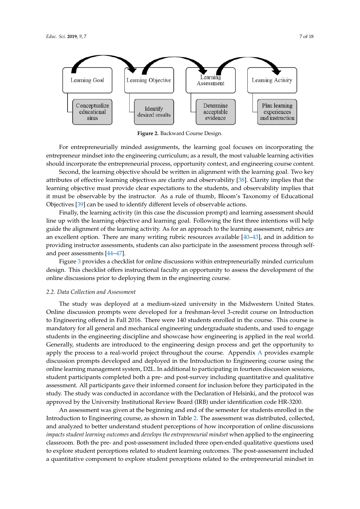<span id="page-7-0"></span>

**Figure 2.** Backward Course Design. **Figure 2.**Backward Course Design.

For entrepreneurially minded assignments, the learning goal focuses on incorporating the For entrepreneurially minded assignments, the learning goal focuses on incorporating the entrepreneur mindset into the engineering curriculum; as a result, the most valuable learning entrepreneur mindset into the engineering curriculum; as a result, the most valuable learning activities should incorporate the entrepreneurial process, opportunity context, and engineering course content.

Second, the learning objective should be written in alignment with the learning goal. Two key attributes of effective learning objectives are clarity and observability [\[38\]](#page-17-12). Clarity implies that the attributes of effective learning objectives are clarity and observable  $\mathbb{R}$ . Clarity implies that the that the that the theory of the theory of the studies that the theory of the theory of the studies that the studies learning objective must provide clear expectations to the students, and observability implies that it is a student of the students of the students. must be observable by the instructor. As a rule of thumb, Bloom's Taxonomy of Educational it must be observable by the instructor. As a rule of thumb, Bloom's Taxonomy of Educational Objectives [39] can be used to identify different levels of observable actions. Objectives [\[39\]](#page-17-13) can be used to identify different levels of observable actions.

Finally, the learning activity (in this case the discussion prompt) and learning assessment should Finally, the learning activity (in this case the discussion prompt) and learning assessment should line up with the learning objective and learning goal. Following the first three intentions will help line up with the learning objective and learning goal. Following the first three intentions will help guide the alignment of the learning activity. As for an approach to the learning assessment, rubrics guide the alignment of the learning activity. As for an approach to the learning assessment, rubrics are an excellent option. There are many writing rubric resources available [\[40](#page-17-14)-43], and in addition to providing instructor assessments, students can also participate in the assessment process through providing instructor assessments, students can also participate in the assessment process through selfand peer assessments  $[44-47]$  $[44-47]$ .

 $\sigma$   $\Omega$  provides a checklist for online discussions within entrepreneurially minded curriculum Figure [3](#page-8-0) provides a checklist for online discussions within entrepreneurially minded curriculum<br>Figure 3 provides a checklist for online discussions within entrepreneurially minded curriculum design. This checklist offers instructional faculty an opportunity to assess the development of the online discussions prior to deploying them in the engineering course.

#### *2.2. Data Collection and Assessment*

The study was deployed at a medium-sized university in the Midwestern United States. Online discussion prompts were developed for a freshman-level 3-credit course on Introduction to Engineering offered in Fall 2016. There were 140 students enrolled in the course. This course is mandatory for all general and mechanical engineering undergraduate students, and used to engage students in the engineering discipline and showcase how engineering is applied in the real world. Generally, students are introduced to the engineering design process and get the opportunity to apply the process to a real-world project throughout the course. Appendix [A](#page-12-0) provides example discussion prompts developed and deployed in the Introduction to Engineering course using the online learning management system, D2L. In additional to participating in fourteen discussion sessions, student participants completed both a pre- and post-survey including quantitative and qualitative assessment. All participants gave their informed consent for inclusion before they participated in the study. The study was conducted in accordance with the Declaration of Helsinki, and the protocol was approved by the University Institutional Review Board (IRB) under identification code HR-3200.

An assessment was given at the beginning and end of the semester for students enrolled in the Introduction to Engineering course, as shown in Table [2.](#page-8-1) The assessment was distributed, collected, and analyzed to better understand student perceptions of how incorporation of online discussions *impacts student learning outcomes* and *develops the entrepreneurial mindset* when applied to the engineering classroom. Both the pre- and post-assessment included three open-ended qualitative questions used to explore student perceptions related to student learning outcomes. The post-assessment included a quantitative component to explore student perceptions related to the entrepreneurial mindset in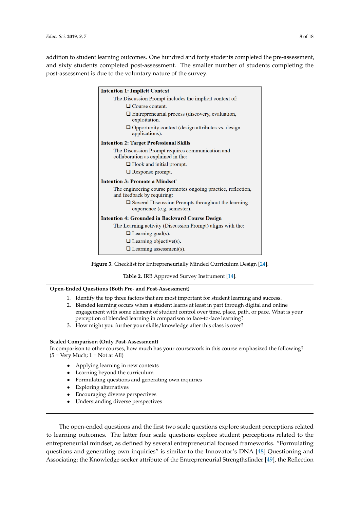<span id="page-8-0"></span>addition to student learning outcomes. One hundred and forty students completed the pre-assessment, and sixty students completed post-assessment. The smaller number of students completing the post-assessment is due to the voluntary nature of the survey.

| <b>Intention 1: Implicit Context</b>                                                        |
|---------------------------------------------------------------------------------------------|
| The Discussion Prompt includes the implicit context of:                                     |
| $\Box$ Course content.                                                                      |
| $\Box$ Entrepreneurial process (discovery, evaluation,<br>exploitation.                     |
| $\Box$ Opportunity context (design attributes vs. design<br>applications).                  |
| <b>Intention 2: Target Professional Skills</b>                                              |
| The Discussion Prompt requires communication and<br>collaboration as explained in the:      |
| $\Box$ Hook and initial prompt.                                                             |
| $\Box$ Response prompt.                                                                     |
| <b>Intention 3: Promote a Mindset</b>                                                       |
| The engineering course promotes ongoing practice, reflection,<br>and feedback by requiring: |
| $\Box$ Several Discussion Prompts throughout the learning<br>experience (e.g. semester).    |
| <b>Intention 4: Grounded in Backward Course Design</b>                                      |
| The Learning activity (Discussion Prompt) aligns with the:                                  |
| $\Box$ Learning goal(s).                                                                    |
| $\Box$ Learning objective(s).                                                               |
| $\Box$ Learning assessment(s).                                                              |

**Figure 3.** Checklist for Entrepreneurially Minded Curriculum Design [24]*.* **Figure 3.** Checklist for Entrepreneurially Minded Curriculum Design [\[24\]](#page-17-0).

<span id="page-8-1"></span>*2.2. Data Collection and Assessment* **Table 2.** IRB Approved Survey Instrument [\[14\]](#page-16-13).

# Open-Ended Questions (Both Pre- and Post-Assessment)

- 1. Identify the top three factors that are most important for student learning and success.
- 2. Blended learning occurs when a student learns at least in part through digital and online engagement with some element of student control over time, place, path, or pace. What is your perception of blended learning in comparison to face-to-face learning?<br>
perception of blended learning in comparison to face-to-face learning?
- 3. How might you further your skills/knowledge after this class is over?

#### apply the project throughout the project throughout throughout throughout the course. Appendix  $\mathcal{A}$ **Scaled Comparison (Only Post-Assessment)**

discussion parametering and developed and dependent of the International course using the International course using the International course using the International course using the International course using the Internat In comparison to other courses, how much has your coursework in this course emphasized the following?<br><sup>15</sup> – Very Much: 1 – Not at All) sessions, student participants completed both a pre- and post-survey including quantitative and  $(5 = \text{Very Much}; 1 = \text{Not at All})$ 

- Applying learning in new contexts
	- Learning beyond the curriculum
- $\bullet$  Learning beyond the curriculum • Formulating questions and generating own inquiries
	- Exploring alternatives
- Encouraging diverse perspectives
- Understanding diverse perspectives  $\mathcal{L}$  Engineering course, as shown in Table 2. The assessment was distributed, collected, collected, collected, collected, collected, collected, collected, collected, collected, collected, collected, collected, collect

*impacts student learning outcomes* and *develops the entrepreneurial mindset* when applied to the The open-ended questions and the first two scale questions explore student perceptions related to learning outcomes. The latter four scale questions explore student perceptions related to the entrepreneurial mindset, as defined by several entrepreneurial focused frameworks. "Formulating questions and generating own inquiries" is similar to the Innovator's DNA [\[48\]](#page-17-18) Questioning and Associating; the Knowledge-seeker attribute of the Entrepreneurial Strengthsfinder [\[49\]](#page-17-19), the Reflection

and analyzed to better understand studient perceptions of how incorporations of  $\mathcal{A}$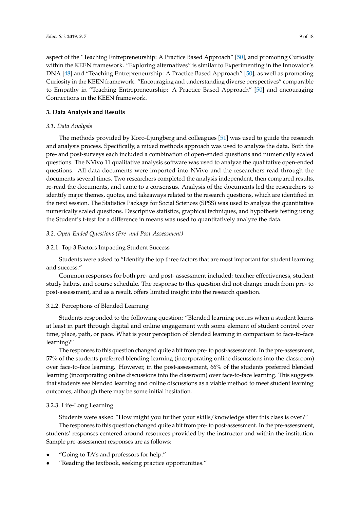aspect of the "Teaching Entrepreneurship: A Practice Based Approach" [\[50\]](#page-17-20), and promoting Curiosity within the KEEN framework. "Exploring alternatives" is similar to Experimenting in the Innovator's DNA [\[48\]](#page-17-18) and "Teaching Entrepreneurship: A Practice Based Approach" [\[50\]](#page-17-20), as well as promoting Curiosity in the KEEN framework. "Encouraging and understanding diverse perspectives" comparable to Empathy in "Teaching Entrepreneurship: A Practice Based Approach" [\[50\]](#page-17-20) and encouraging Connections in the KEEN framework.

#### **3. Data Analysis and Results**

#### *3.1. Data Analysis*

The methods provided by Koro-Ljungberg and colleagues [\[51\]](#page-18-0) was used to guide the research and analysis process. Specifically, a mixed methods approach was used to analyze the data. Both the pre- and post-surveys each included a combination of open-ended questions and numerically scaled questions. The NVivo 11 qualitative analysis software was used to analyze the qualitative open-ended questions. All data documents were imported into NVivo and the researchers read through the documents several times. Two researchers completed the analysis independent, then compared results, re-read the documents, and came to a consensus. Analysis of the documents led the researchers to identify major themes, quotes, and takeaways related to the research questions, which are identified in the next session. The Statistics Package for Social Sciences (SPSS) was used to analyze the quantitative numerically scaled questions. Descriptive statistics, graphical techniques, and hypothesis testing using the Student's t-test for a difference in means was used to quantitatively analyze the data.

#### *3.2. Open-Ended Questions (Pre- and Post-Assessment)*

#### 3.2.1. Top 3 Factors Impacting Student Success

Students were asked to "Identify the top three factors that are most important for student learning and success."

Common responses for both pre- and post- assessment included: teacher effectiveness, student study habits, and course schedule. The response to this question did not change much from pre- to post-assessment, and as a result, offers limited insight into the research question.

#### 3.2.2. Perceptions of Blended Learning

Students responded to the following question: "Blended learning occurs when a student learns at least in part through digital and online engagement with some element of student control over time, place, path, or pace. What is your perception of blended learning in comparison to face-to-face learning?"

The responses to this question changed quite a bit from pre- to post-assessment. In the pre-assessment, 57% of the students preferred blending learning (incorporating online discussions into the classroom) over face-to-face learning. However, in the post-assessment, 66% of the students preferred blended learning (incorporating online discussions into the classroom) over face-to-face learning. This suggests that students see blended learning and online discussions as a viable method to meet student learning outcomes, although there may be some initial hesitation.

# 3.2.3. Life-Long Learning

Students were asked "How might you further your skills/knowledge after this class is over?"

The responses to this question changed quite a bit from pre- to post-assessment. In the pre-assessment, students' responses centered around resources provided by the instructor and within the institution. Sample pre-assessment responses are as follows:

- "Going to TA's and professors for help."
- "Reading the textbook, seeking practice opportunities."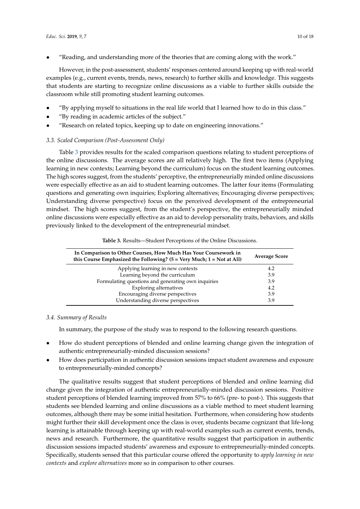• "Reading, and understanding more of the theories that are coming along with the work."

However, in the post-assessment, students' responses centered around keeping up with real-world examples (e.g., current events, trends, news, research) to further skills and knowledge. This suggests that students are starting to recognize online discussions as a viable to further skills outside the classroom while still promoting student learning outcomes.

- "By applying myself to situations in the real life world that I learned how to do in this class."
- "By reading in academic articles of the subject."
- "Research on related topics, keeping up to date on engineering innovations."

#### *3.3. Scaled Comparison (Post-Assessment Only)*

Table [3](#page-10-0) provides results for the scaled comparison questions relating to student perceptions of the online discussions. The average scores are all relatively high. The first two items (Applying learning in new contexts; Learning beyond the curriculum) focus on the student learning outcomes. The high scores suggest, from the students' perceptive, the entrepreneurially minded online discussions were especially effective as an aid to student learning outcomes. The latter four items (Formulating questions and generating own inquiries; Exploring alternatives; Encouraging diverse perspectives; Understanding diverse perspective) focus on the perceived development of the entrepreneurial mindset. The high scores suggest, from the student's perspective, the entrepreneurially minded online discussions were especially effective as an aid to develop personality traits, behaviors, and skills previously linked to the development of the entrepreneurial mindset.

<span id="page-10-0"></span>

| In Comparison to Other Courses, How Much Has Your Coursework in<br>this Course Emphasized the Following? $(5 = Very Much; 1 = Not at All)$ | <b>Average Score</b> |
|--------------------------------------------------------------------------------------------------------------------------------------------|----------------------|
| Applying learning in new contexts                                                                                                          | 4.2                  |
| Learning beyond the curriculum                                                                                                             | 3.9                  |
| Formulating questions and generating own inquiries                                                                                         | 3.9                  |
| <b>Exploring alternatives</b>                                                                                                              | 4.2                  |
| Encouraging diverse perspectives                                                                                                           | 3.9                  |
| Understanding diverse perspectives                                                                                                         | 3.9                  |

#### **Table 3.** Results—Student Perceptions of the Online Discussions.

#### *3.4. Summary of Results*

In summary, the purpose of the study was to respond to the following research questions.

- How do student perceptions of blended and online learning change given the integration of authentic entrepreneurially-minded discussion sessions?
- How does participation in authentic discussion sessions impact student awareness and exposure to entrepreneurially-minded concepts?

The qualitative results suggest that student perceptions of blended and online learning did change given the integration of authentic entrepreneurially-minded discussion sessions. Positive student perceptions of blended learning improved from 57% to 66% (pre- to post-). This suggests that students see blended learning and online discussions as a viable method to meet student learning outcomes, although there may be some initial hesitation. Furthermore, when considering how students might further their skill development once the class is over, students became cognizant that life-long learning is attainable through keeping up with real-world examples such as current events, trends, news and research. Furthermore, the quantitative results suggest that participation in authentic discussion sessions impacted students' awareness and exposure to entrepreneurially-minded concepts. Specifically, students sensed that this particular course offered the opportunity to *apply learning in new contexts* and *explore alternatives* more so in comparison to other courses.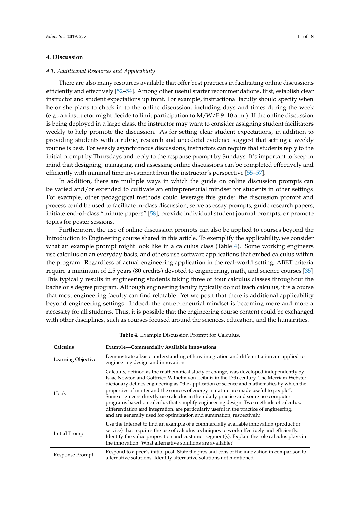#### **4. Discussion**

#### *4.1. Additioanal Resources and Applicability*

There are also many resources available that offer best practices in facilitating online discussions efficiently and effectively [\[52](#page-18-1)[–54\]](#page-18-2). Among other useful starter recommendations, first, establish clear instructor and student expectations up front. For example, instructional faculty should specify when he or she plans to check in to the online discussion, including days and times during the week (e.g., an instructor might decide to limit participation to M/W/F 9–10 a.m.). If the online discussion is being deployed in a large class, the instructor may want to consider assigning student facilitators weekly to help promote the discussion. As for setting clear student expectations, in addition to providing students with a rubric, research and anecdotal evidence suggest that setting a weekly routine is best. For weekly asynchronous discussions, instructors can require that students reply to the initial prompt by Thursdays and reply to the response prompt by Sundays. It's important to keep in mind that designing, managing, and assessing online discussions can be completed effectively and efficiently with minimal time investment from the instructor's perspective [\[55–](#page-18-3)[57\]](#page-18-4).

In addition, there are multiple ways in which the guide on online discussion prompts can be varied and/or extended to cultivate an entrepreneurial mindset for students in other settings. For example, other pedagogical methods could leverage this guide: the discussion prompt and process could be used to facilitate in-class discussion, serve as essay prompts, guide research papers, initiate end-of-class "minute papers" [\[58\]](#page-18-5), provide individual student journal prompts, or promote topics for poster sessions.

Furthermore, the use of online discussion prompts can also be applied to courses beyond the Introduction to Engineering course shared in this article. To exemplify the applicability, we consider what an example prompt might look like in a calculus class (Table [4\)](#page-11-0). Some working engineers use calculus on an everyday basis, and others use software applications that embed calculus within the program. Regardless of actual engineering application in the real-world setting, ABET criteria require a minimum of 2.5 years (80 credits) devoted to engineering, math, and science courses [\[35\]](#page-17-9). This typically results in engineering students taking three or four calculus classes throughout the bachelor's degree program. Although engineering faculty typically do not teach calculus, it is a course that most engineering faculty can find relatable. Yet we posit that there is additional applicability beyond engineering settings. Indeed, the entrepreneurial mindset is becoming more and more a necessity for all students. Thus, it is possible that the engineering course content could be exchanged with other disciplines, such as courses focused around the sciences, education, and the humanities.

<span id="page-11-0"></span>

| Calculus           | Example-Commercially Available Innovations                                                                                                                                                                                                                                                                                                                                                                                                                                                                                                                                                                                                                                                                                |
|--------------------|---------------------------------------------------------------------------------------------------------------------------------------------------------------------------------------------------------------------------------------------------------------------------------------------------------------------------------------------------------------------------------------------------------------------------------------------------------------------------------------------------------------------------------------------------------------------------------------------------------------------------------------------------------------------------------------------------------------------------|
| Learning Objective | Demonstrate a basic understanding of how integration and differentiation are applied to<br>engineering design and innovation.                                                                                                                                                                                                                                                                                                                                                                                                                                                                                                                                                                                             |
| Hook               | Calculus, defined as the mathematical study of change, was developed independently by<br>Isaac Newton and Gottfried Wilhelm von Leibniz in the 17th century. The Merriam-Webster<br>dictionary defines engineering as "the application of science and mathematics by which the<br>properties of matter and the sources of energy in nature are made useful to people".<br>Some engineers directly use calculus in their daily practice and some use computer<br>programs based on calculus that simplify engineering design. Two methods of calculus,<br>differentiation and integration, are particularly useful in the practice of engineering,<br>and are generally used for optimization and summation, respectively. |
| Initial Prompt     | Use the Internet to find an example of a commercially available innovation (product or<br>service) that requires the use of calculus techniques to work effectively and efficiently.<br>Identify the value proposition and customer segment(s). Explain the role calculus plays in<br>the innovation. What alternative solutions are available?                                                                                                                                                                                                                                                                                                                                                                           |
| Response Prompt    | Respond to a peer's initial post. State the pros and cons of the innovation in comparison to<br>alternative solutions. Identify alternative solutions not mentioned.                                                                                                                                                                                                                                                                                                                                                                                                                                                                                                                                                      |

#### **Table 4.** Example Discussion Prompt for Calculus.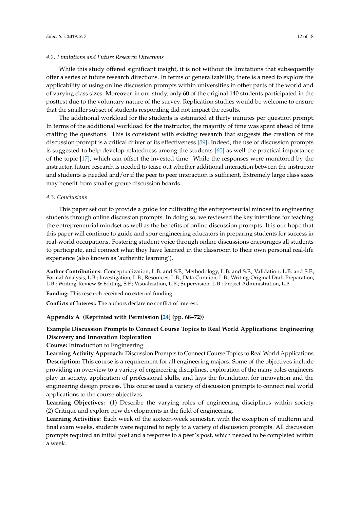#### *4.2. Limitations and Future Research Directions*

While this study offered significant insight, it is not without its limitations that subsequently offer a series of future research directions. In terms of generalizability, there is a need to explore the applicability of using online discussion prompts within universities in other parts of the world and of varying class sizes. Moreover, in our study, only 60 of the original 140 students participated in the posttest due to the voluntary nature of the survey. Replication studies would be welcome to ensure that the smaller subset of students responding did not impact the results.

The additional workload for the students is estimated at thirty minutes per question prompt. In terms of the additional workload for the instructor, the majority of time was spent ahead of time crafting the questions. This is consistent with existing research that suggests the creation of the discussion prompt is a critical driver of its effectiveness [\[59\]](#page-18-6). Indeed, the use of discussion prompts is suggested to help develop relatedness among the students [\[60\]](#page-18-7) as well the practical importance of the topic [\[17\]](#page-16-16), which can offset the invested time. While the responses were monitored by the instructor, future research is needed to tease out whether additional interaction between the instructor and students is needed and/or if the peer to peer interaction is sufficient. Extremely large class sizes may benefit from smaller group discussion boards.

#### *4.3. Conclusions*

This paper set out to provide a guide for cultivating the entrepreneurial mindset in engineering students through online discussion prompts. In doing so, we reviewed the key intentions for teaching the entrepreneurial mindset as well as the benefits of online discussion prompts. It is our hope that this paper will continue to guide and spur engineering educators in preparing students for success in real-world occupations. Fostering student voice through online discussions encourages all students to participate, and connect what they have learned in the classroom to their own personal real-life experience (also known as 'authentic learning').

**Author Contributions:** Conceptualization, L.B. and S.F.; Methodology, L.B. and S.F.; Validation, L.B. and S.F.; Formal Analysis, L.B.; Investigation, L.B.; Resources, L.B.; Data Curation, L.B.; Writing-Original Draft Preparation, L.B.; Writing-Review & Editing, S.F.; Visualization, L.B.; Supervision, L.B.; Project Administration, L.B.

**Funding:** This research received no external funding.

**Conflicts of Interest:** The authors declare no conflict of interest.

#### <span id="page-12-0"></span>**Appendix A (Reprinted with Permission [\[24\]](#page-17-0) (pp. 68–72))**

# **Example Discussion Prompts to Connect Course Topics to Real World Applications: Engineering Discovery and Innovation Exploration**

**Course:** Introduction to Engineering

**Learning Activity Approach:** Discussion Prompts to Connect Course Topics to Real World Applications **Description:** This course is a requirement for all engineering majors. Some of the objectives include providing an overview to a variety of engineering disciplines, exploration of the many roles engineers play in society, application of professional skills, and lays the foundation for innovation and the engineering design process. This course used a variety of discussion prompts to connect real world applications to the course objectives.

**Learning Objectives:** (1) Describe the varying roles of engineering disciplines within society. (2) Critique and explore new developments in the field of engineering.

**Learning Activities:** Each week of the sixteen-week semester, with the exception of midterm and final exam weeks, students were required to reply to a variety of discussion prompts. All discussion prompts required an initial post and a response to a peer's post, which needed to be completed within a week.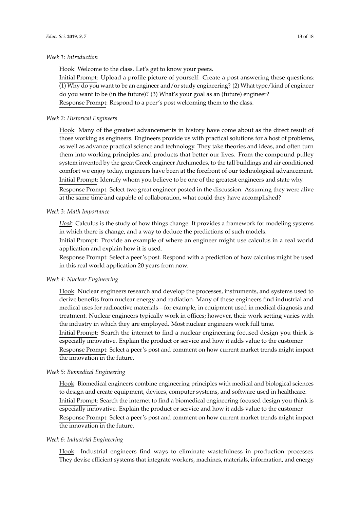#### *Week 1: Introduction*

Hook: Welcome to the class. Let's get to know your peers.

Initial Prompt: Upload a profile picture of yourself. Create a post answering these questions: (1) Why do you want to be an engineer and/or study engineering? (2) What type/kind of engineer do you want to be (in the future)? (3) What's your goal as an (future) engineer? Response Prompt: Respond to a peer's post welcoming them to the class.

## *Week 2: Historical Engineers*

Hook: Many of the greatest advancements in history have come about as the direct result of those working as engineers. Engineers provide us with practical solutions for a host of problems, as well as advance practical science and technology. They take theories and ideas, and often turn them into working principles and products that better our lives. From the compound pulley system invented by the great Greek engineer Archimedes, to the tall buildings and air conditioned comfort we enjoy today, engineers have been at the forefront of our technological advancement. Initial Prompt: Identify whom you believe to be one of the greatest engineers and state why.

Response Prompt: Select two great engineer posted in the discussion. Assuming they were alive at the same time and capable of collaboration, what could they have accomplished?

## *Week 3: Math Importance*

*Hook*: Calculus is the study of how things change. It provides a framework for modeling systems in which there is change, and a way to deduce the predictions of such models.

Initial Prompt: Provide an example of where an engineer might use calculus in a real world application and explain how it is used.

Response Prompt: Select a peer's post. Respond with a prediction of how calculus might be used in this real world application 20 years from now.

# *Week 4: Nuclear Engineering*

Hook: Nuclear engineers research and develop the processes, instruments, and systems used to derive benefits from nuclear energy and radiation. Many of these engineers find industrial and medical uses for radioactive materials—for example, in equipment used in medical diagnosis and treatment. Nuclear engineers typically work in offices; however, their work setting varies with the industry in which they are employed. Most nuclear engineers work full time.

Initial Prompt: Search the internet to find a nuclear engineering focused design you think is especially innovative. Explain the product or service and how it adds value to the customer. Response Prompt: Select a peer's post and comment on how current market trends might impact the innovation in the future.

# *Week 5: Biomedical Engineering*

Hook: Biomedical engineers combine engineering principles with medical and biological sciences to design and create equipment, devices, computer systems, and software used in healthcare. Initial Prompt: Search the internet to find a biomedical engineering focused design you think is especially innovative. Explain the product or service and how it adds value to the customer. Response Prompt: Select a peer's post and comment on how current market trends might impact the innovation in the future.

# *Week 6: Industrial Engineering*

Hook: Industrial engineers find ways to eliminate wastefulness in production processes. They devise efficient systems that integrate workers, machines, materials, information, and energy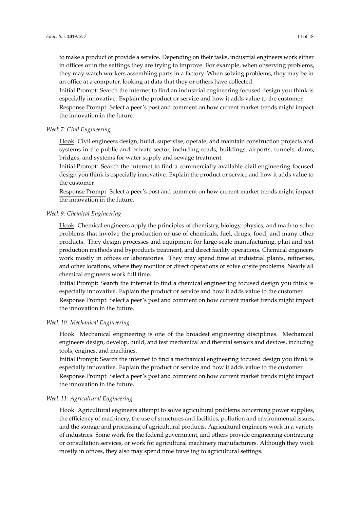to make a product or provide a service. Depending on their tasks, industrial engineers work either in offices or in the settings they are trying to improve. For example, when observing problems, they may watch workers assembling parts in a factory. When solving problems, they may be in an office at a computer, looking at data that they or others have collected.

Initial Prompt: Search the internet to find an industrial engineering focused design you think is especially innovative. Explain the product or service and how it adds value to the customer.

Response Prompt: Select a peer's post and comment on how current market trends might impact the innovation in the future.

# *Week 7: Civil Engineering*

Hook: Civil engineers design, build, supervise, operate, and maintain construction projects and systems in the public and private sector, including roads, buildings, airports, tunnels, dams, bridges, and systems for water supply and sewage treatment.

Initial Prompt: Search the internet to find a commercially available civil engineering focused design you think is especially innovative. Explain the product or service and how it adds value to the customer.

Response Prompt: Select a peer's post and comment on how current market trends might impact the innovation in the future.

# *Week 9: Chemical Engineering*

Hook: Chemical engineers apply the principles of chemistry, biology, physics, and math to solve problems that involve the production or use of chemicals, fuel, drugs, food, and many other products. They design processes and equipment for large-scale manufacturing, plan and test production methods and byproducts treatment, and direct facility operations. Chemical engineers work mostly in offices or laboratories. They may spend time at industrial plants, refineries, and other locations, where they monitor or direct operations or solve onsite problems. Nearly all chemical engineers work full time.

Initial Prompt: Search the internet to find a chemical engineering focused design you think is especially innovative. Explain the product or service and how it adds value to the customer.

Response Prompt: Select a peer's post and comment on how current market trends might impact the innovation in the future.

# *Week 10: Mechanical Engineering*

Hook: Mechanical engineering is one of the broadest engineering disciplines. Mechanical engineers design, develop, build, and test mechanical and thermal sensors and devices, including tools, engines, and machines.

Initial Prompt: Search the internet to find a mechanical engineering focused design you think is especially innovative. Explain the product or service and how it adds value to the customer.

Response Prompt: Select a peer's post and comment on how current market trends might impact the innovation in the future.

# *Week 11: Agricultural Engineering*

Hook: Agricultural engineers attempt to solve agricultural problems concerning power supplies, the efficiency of machinery, the use of structures and facilities, pollution and environmental issues, and the storage and processing of agricultural products. Agricultural engineers work in a variety of industries. Some work for the federal government, and others provide engineering contracting or consultation services, or work for agricultural machinery manufacturers. Although they work mostly in offices, they also may spend time traveling to agricultural settings.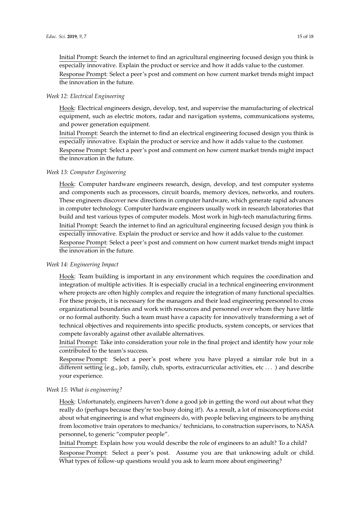Initial Prompt: Search the internet to find an agricultural engineering focused design you think is especially innovative. Explain the product or service and how it adds value to the customer. Response Prompt: Select a peer's post and comment on how current market trends might impact the innovation in the future.

#### *Week 12: Electrical Engineering*

Hook: Electrical engineers design, develop, test, and supervise the manufacturing of electrical equipment, such as electric motors, radar and navigation systems, communications systems, and power generation equipment.

Initial Prompt: Search the internet to find an electrical engineering focused design you think is especially innovative. Explain the product or service and how it adds value to the customer. Response Prompt: Select a peer's post and comment on how current market trends might impact the innovation in the future.

# *Week 13: Computer Engineering*

Hook: Computer hardware engineers research, design, develop, and test computer systems and components such as processors, circuit boards, memory devices, networks, and routers. These engineers discover new directions in computer hardware, which generate rapid advances in computer technology. Computer hardware engineers usually work in research laboratories that build and test various types of computer models. Most work in high-tech manufacturing firms. Initial Prompt: Search the internet to find an agricultural engineering focused design you think is especially innovative. Explain the product or service and how it adds value to the customer. Response Prompt: Select a peer's post and comment on how current market trends might impact the innovation in the future.

#### *Week 14: Engineering Impact*

Hook: Team building is important in any environment which requires the coordination and integration of multiple activities. It is especially crucial in a technical engineering environment where projects are often highly complex and require the integration of many functional specialties. For these projects, it is necessary for the managers and their lead engineering personnel to cross organizational boundaries and work with resources and personnel over whom they have little or no formal authority. Such a team must have a capacity for innovatively transforming a set of technical objectives and requirements into specific products, system concepts, or services that compete favorably against other available alternatives.

Initial Prompt: Take into consideration your role in the final project and identify how your role contributed to the team's success.

Response Prompt: Select a peer's post where you have played a similar role but in a different setting (e.g., job, family, club, sports, extracurricular activities, etc . . . ) and describe your experience.

#### *Week 15: What is engineering?*

Hook: Unfortunately, engineers haven't done a good job in getting the word out about what they really do (perhaps because they're too busy doing it!). As a result, a lot of misconceptions exist about what engineering is and what engineers do, with people believing engineers to be anything from locomotive train operators to mechanics/ technicians, to construction supervisors, to NASA personnel, to generic "computer people".

Initial Prompt: Explain how you would describe the role of engineers to an adult? To a child?

Response Prompt: Select a peer's post. Assume you are that unknowing adult or child. What types of follow-up questions would you ask to learn more about engineering?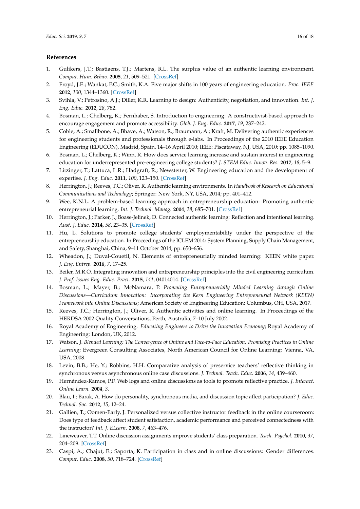## **References**

- <span id="page-16-0"></span>1. Gulikers, J.T.; Bastiaens, T.J.; Martens, R.L. The surplus value of an authentic learning environment. *Comput. Hum. Behav.* **2005**, *21*, 509–521. [\[CrossRef\]](http://dx.doi.org/10.1016/j.chb.2004.10.028)
- <span id="page-16-1"></span>2. Froyd, J.E.; Wankat, P.C.; Smith, K.A. Five major shifts in 100 years of engineering education. *Proc. IEEE* **2012**, *100*, 1344–1360. [\[CrossRef\]](http://dx.doi.org/10.1109/JPROC.2012.2190167)
- <span id="page-16-2"></span>3. Svihla, V.; Petrosino, A.J.; Diller, K.R. Learning to design: Authenticity, negotiation, and innovation. *Int. J. Eng. Educ.* **2012**, *28*, 782.
- <span id="page-16-3"></span>4. Bosman, L.; Chelberg, K.; Fernhaber, S. Introduction to engineering: A constructivist-based approach to encourage engagement and promote accessibility. *Glob. J. Eng. Educ.* **2017**, *19*, 237–242.
- <span id="page-16-4"></span>5. Coble, A.; Smallbone, A.; Bhave, A.; Watson, R.; Braumann, A.; Kraft, M. Delivering authentic experiences for engineering students and professionals through e-labs. In Proceedings of the 2010 IEEE Education Engineering (EDUCON), Madrid, Spain, 14–16 April 2010; IEEE: Piscataway, NJ, USA, 2010; pp. 1085–1090.
- <span id="page-16-5"></span>6. Bosman, L.; Chelberg, K.; Winn, R. How does service learning increase and sustain interest in engineering education for underrepresented pre-engineering college students? *J. STEM Educ. Innov. Res.* **2017**, *18*, 5–9.
- <span id="page-16-6"></span>7. Litzinger, T.; Lattuca, L.R.; Hadgraft, R.; Newstetter, W. Engineering education and the development of expertise. *J. Eng. Educ.* **2011**, *100*, 123–150. [\[CrossRef\]](http://dx.doi.org/10.1002/j.2168-9830.2011.tb00006.x)
- <span id="page-16-7"></span>8. Herrington, J.; Reeves, T.C.; Oliver, R. Authentic learning environments. In *Handbook of Research on Educational Communications and Technology*; Springer: New York, NY, USA, 2014; pp. 401–412.
- <span id="page-16-8"></span>9. Wee, K.N.L. A problem-based learning approach in entrepreneurship education: Promoting authentic entrepreneurial learning. *Int. J. Technol. Manag.* **2004**, *28*, 685–701. [\[CrossRef\]](http://dx.doi.org/10.1504/IJTM.2004.005777)
- <span id="page-16-9"></span>10. Herrington, J.; Parker, J.; Boase-Jelinek, D. Connected authentic learning: Reflection and intentional learning. *Aust. J. Educ.* **2014**, *58*, 23–35. [\[CrossRef\]](http://dx.doi.org/10.1177/0004944113517830)
- <span id="page-16-10"></span>11. Hu, L. Solutions to promote college students' employmentability under the perspective of the entrepreneurship education. In Proceedings of the ICLEM 2014: System Planning, Supply Chain Management, and Safety, Shanghai, China, 9–11 October 2014; pp. 650–656.
- <span id="page-16-11"></span>12. Wheadon, J.; Duval-Couetil, N. Elements of entrepreneurially minded learning: KEEN white paper. *J. Eng. Entrep.* **2016**, *7*, 17–25.
- <span id="page-16-12"></span>13. Beiler, M.R.O. Integrating innovation and entrepreneurship principles into the civil engineering curriculum. *J. Prof. Issues Eng. Educ. Pract.* **2015**, *141*, 04014014. [\[CrossRef\]](http://dx.doi.org/10.1061/(ASCE)EI.1943-5541.0000233)
- <span id="page-16-13"></span>14. Bosman, L.; Mayer, B.; McNamara, P. *Promoting Entreprenuerially Minded Learning through Online Discussions—Curriculum Innovation: Incorporating the Kern Engineering Entrepreneurial Network (KEEN) Framework into Online Discussions*; American Society of Engineering Education: Columbus, OH, USA, 2017.
- <span id="page-16-14"></span>15. Reeves, T.C.; Herrington, J.; Oliver, R. Authentic activities and online learning. In Proceedings of the HERDSA 2002 Quality Conversations, Perth, Australia, 7–10 July 2002.
- <span id="page-16-15"></span>16. Royal Academy of Engineering. *Educating Engineers to Drive the Innovation Economy*; Royal Academy of Engineering: London, UK, 2012.
- <span id="page-16-16"></span>17. Watson, J. *Blended Learning: The Convergence of Online and Face-to-Face Education. Promising Practices in Online Learning*; Evergreen Consulting Associates, North American Council for Online Learning: Vienna, VA, USA, 2008.
- <span id="page-16-17"></span>18. Levin, B.B.; He, Y.; Robbins, H.H. Comparative analysis of preservice teachers' reflective thinking in synchronous versus asynchronous online case discussions. *J. Technol. Teach. Educ.* **2006**, *14*, 439–460.
- <span id="page-16-18"></span>19. Hernández-Ramos, P.F. Web logs and online discussions as tools to promote reflective practice. *J. Interact. Online Learn.* **2004**, *3*.
- <span id="page-16-19"></span>20. Blau, I.; Barak, A. How do personality, synchronous media, and discussion topic affect participation? *J. Educ. Technol. Soc.* **2012**, *15*, 12–24.
- <span id="page-16-20"></span>21. Gallien, T.; Oomen-Early, J. Personalized versus collective instructor feedback in the online courseroom: Does type of feedback affect student satisfaction, academic performance and perceived connectedness with the instructor? *Int. J. ELearn.* **2008**, *7*, 463–476.
- <span id="page-16-21"></span>22. Lineweaver, T.T. Online discussion assignments improve students' class preparation. *Teach. Psychol.* **2010**, *37*, 204–209. [\[CrossRef\]](http://dx.doi.org/10.1080/00986283.2010.488546)
- <span id="page-16-22"></span>23. Caspi, A.; Chajut, E.; Saporta, K. Participation in class and in online discussions: Gender differences. *Comput. Educ.* **2008**, *50*, 718–724. [\[CrossRef\]](http://dx.doi.org/10.1016/j.compedu.2006.08.003)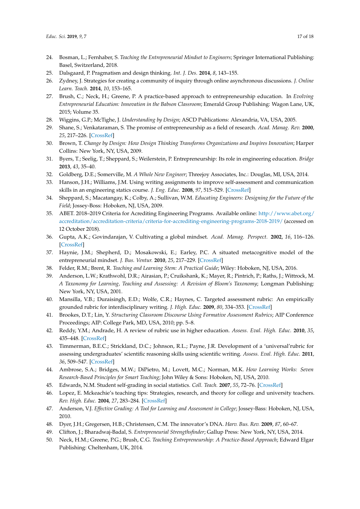- <span id="page-17-0"></span>24. Bosman, L.; Fernhaber, S. *Teaching the Entrepreneurial Mindset to Engineers*; Springer International Publishing: Basel, Switzerland, 2018.
- <span id="page-17-1"></span>25. Dalsgaard, P. Pragmatism and design thinking. *Int. J. Des.* **2014**, *8*, 143–155.
- <span id="page-17-2"></span>26. Zydney, J. Strategies for creating a community of inquiry through online asynchronous discussions. *J. Online Learn. Teach.* **2014**, *10*, 153–165.
- <span id="page-17-3"></span>27. Brush, C.; Neck, H.; Greene, P. A practice-based approach to entrepreneurship education. In *Evolving Entrepreneurial Education: Innovation in the Babson Classroom*; Emerald Group Publishing: Wagon Lane, UK, 2015; Volume 35.
- <span id="page-17-4"></span>28. Wiggins, G.P.; McTighe, J. *Understanding by Design*; ASCD Publications: Alexandria, VA, USA, 2005.
- <span id="page-17-5"></span>29. Shane, S.; Venkataraman, S. The promise of entrepreneurship as a field of research. *Acad. Manag. Rev.* **2000**, *25*, 217–226. [\[CrossRef\]](http://dx.doi.org/10.5465/amr.2000.2791611)
- <span id="page-17-6"></span>30. Brown, T. *Change by Design: How Design Thinking Transforms Organizations and Inspires Innovation*; Harper Collins: New York, NY, USA, 2009.
- <span id="page-17-7"></span>31. Byers, T.; Seelig, T.; Sheppard, S.; Weilerstein, P. Entrepreneurship: Its role in engineering education. *Bridge* **2013**, *43*, 35–40.
- 32. Goldberg, D.E.; Somerville, M. *A Whole New Engineer*; Threejoy Associates, Inc.: Douglas, MI, USA, 2014.
- 33. Hanson, J.H.; Williams, J.M. Using writing assignments to improve self-assessment and communication skills in an engineering statics course. *J. Eng. Educ.* **2008**, *97*, 515–529. [\[CrossRef\]](http://dx.doi.org/10.1002/j.2168-9830.2008.tb00997.x)
- <span id="page-17-8"></span>34. Sheppard, S.; Macatangay, K.; Colby, A.; Sullivan, W.M. *Educating Engineers: Designing for the Future of the Field*; Jossey-Boss: Hoboken, NJ, USA, 2009.
- <span id="page-17-9"></span>35. ABET. 2018–2019 Criteria for Acrediting Engineering Programs. Available online: [http://www.abet.org/](http://www.abet.org/accreditation/accreditation-criteria/criteria-for-accrediting-engineering-programs-2018-2019/) [accreditation/accreditation-criteria/criteria-for-accrediting-engineering-programs-2018-2019/](http://www.abet.org/accreditation/accreditation-criteria/criteria-for-accrediting-engineering-programs-2018-2019/) (accessed on 12 October 2018).
- <span id="page-17-10"></span>36. Gupta, A.K.; Govindarajan, V. Cultivating a global mindset. *Acad. Manag. Perspect.* **2002**, *16*, 116–126. [\[CrossRef\]](http://dx.doi.org/10.5465/ame.2002.6640211)
- <span id="page-17-11"></span>37. Haynie, J.M.; Shepherd, D.; Mosakowski, E.; Earley, P.C. A situated metacognitive model of the entrepreneurial mindset. *J. Bus. Ventur.* **2010**, *25*, 217–229. [\[CrossRef\]](http://dx.doi.org/10.1016/j.jbusvent.2008.10.001)
- <span id="page-17-12"></span>38. Felder, R.M.; Brent, R. *Teaching and Learning Stem: A Practical Guide*; Wiley: Hoboken, NJ, USA, 2016.
- <span id="page-17-13"></span>39. Anderson, L.W.; Krathwohl, D.R.; Airasian, P.; Cruikshank, K.; Mayer, R.; Pintrich, P.; Raths, J.; Wittrock, M. *A Taxonomy for Learning, Teaching and Assessing: A Revision of Bloom's Taxonomy*; Longman Publishing: New York, NY, USA, 2001.
- <span id="page-17-14"></span>40. Mansilla, V.B.; Duraisingh, E.D.; Wolfe, C.R.; Haynes, C. Targeted assessment rubric: An empirically grounded rubric for interdisciplinary writing. *J. High. Educ.* **2009**, *80*, 334–353. [\[CrossRef\]](http://dx.doi.org/10.1080/00221546.2009.11779016)
- 41. Brookes, D.T.; Lin, Y. *Structuring Classroom Discourse Using Formative Assessment Rubrics*; AIP Conference Proceedings; AIP: College Park, MD, USA, 2010; pp. 5–8.
- 42. Reddy, Y.M.; Andrade, H. A review of rubric use in higher education. *Assess. Eval. High. Educ.* **2010**, *35*, 435–448. [\[CrossRef\]](http://dx.doi.org/10.1080/02602930902862859)
- <span id="page-17-15"></span>43. Timmerman, B.E.C.; Strickland, D.C.; Johnson, R.L.; Payne, J.R. Development of a 'universal'rubric for assessing undergraduates' scientific reasoning skills using scientific writing. *Assess. Eval. High. Educ.* **2011**, *36*, 509–547. [\[CrossRef\]](http://dx.doi.org/10.1080/02602930903540991)
- <span id="page-17-16"></span>44. Ambrose, S.A.; Bridges, M.W.; DiPietro, M.; Lovett, M.C.; Norman, M.K. *How Learning Works: Seven Research-Based Principles for Smart Teaching*; John Wiley & Sons: Hoboken, NJ, USA, 2010.
- 45. Edwards, N.M. Student self-grading in social statistics. *Coll. Teach.* **2007**, *55*, 72–76. [\[CrossRef\]](http://dx.doi.org/10.3200/CTCH.55.2.72-76)
- 46. Lopez, E. Mckeachie's teaching tips: Strategies, research, and theory for college and university teachers. *Rev. High. Educ.* **2004**, *27*, 283–284. [\[CrossRef\]](http://dx.doi.org/10.1353/rhe.2003.0066)
- <span id="page-17-17"></span>47. Anderson, V.J. *Effective Grading: A Tool for Learning and Assessment in College*; Jossey-Bass: Hoboken, NJ, USA, 2010.
- <span id="page-17-18"></span>48. Dyer, J.H.; Gregersen, H.B.; Christensen, C.M. The innovator's DNA. *Harv. Bus. Rev.* **2009**, *87*, 60–67.
- <span id="page-17-19"></span>49. Clifton, J.; Bharadwaj-Badal, S. *Entrepreneurial Strengthsfinder*; Gallup Press: New York, NY, USA, 2014.
- <span id="page-17-20"></span>50. Neck, H.M.; Greene, P.G.; Brush, C.G. *Teaching Entrepreneurship: A Practice-Based Approach*; Edward Elgar Publishing: Cheltenham, UK, 2014.